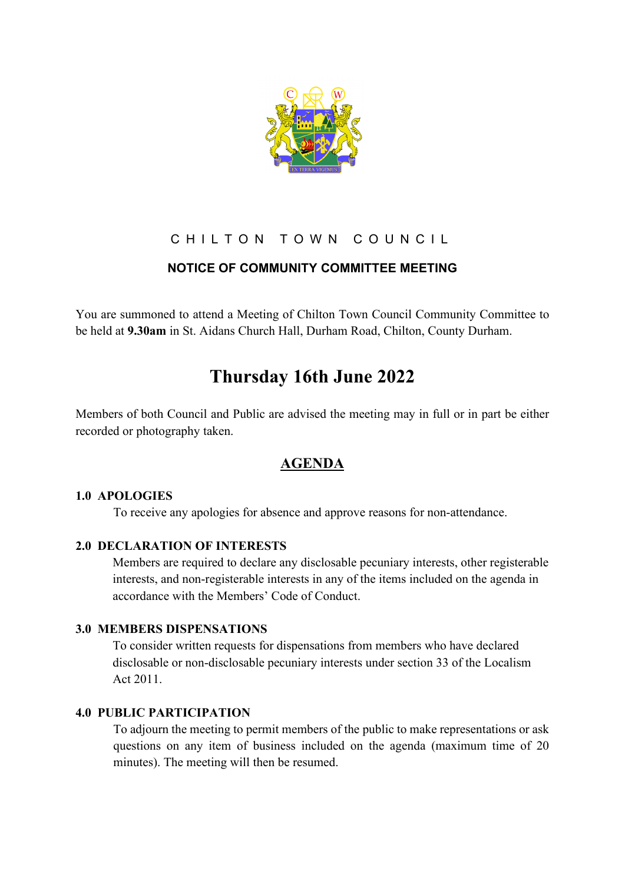

# CHILTON TOWN COUNCIL

# **NOTICE OF COMMUNITY COMMITTEE MEETING**

You are summoned to attend a Meeting of Chilton Town Council Community Committee to be held at **9.30am** in St. Aidans Church Hall, Durham Road, Chilton, County Durham.

# **Thursday 16th June 2022**

Members of both Council and Public are advised the meeting may in full or in part be either recorded or photography taken.

# **AGENDA**

## **1.0 APOLOGIES**

To receive any apologies for absence and approve reasons for non-attendance.

## **2.0 DECLARATION OF INTERESTS**

Members are required to declare any disclosable pecuniary interests, other registerable interests, and non-registerable interests in any of the items included on the agenda in accordance with the Members' Code of Conduct.

## **3.0 MEMBERS DISPENSATIONS**

To consider written requests for dispensations from members who have declared disclosable or non-disclosable pecuniary interests under section 33 of the Localism Act 2011.

## **4.0 PUBLIC PARTICIPATION**

To adjourn the meeting to permit members of the public to make representations or ask questions on any item of business included on the agenda (maximum time of 20 minutes). The meeting will then be resumed.